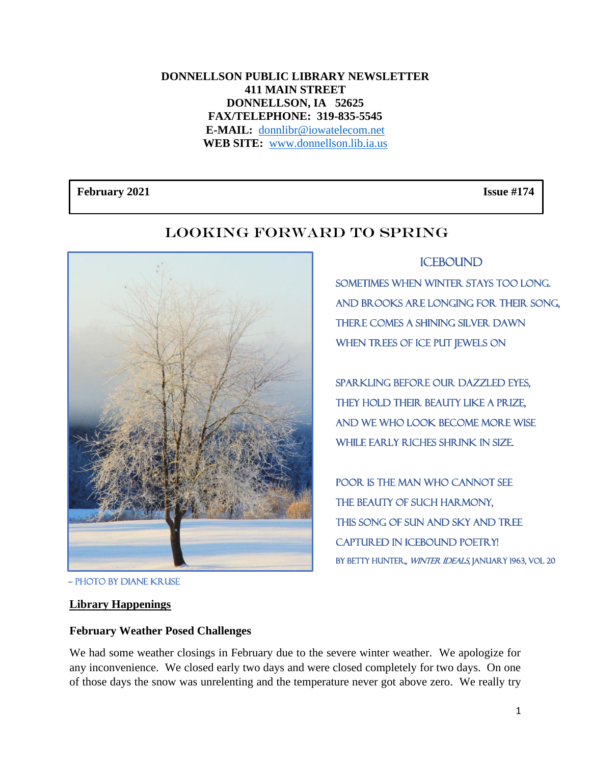#### **DONNELLSON PUBLIC LIBRARY NEWSLETTER 411 MAIN STREET DONNELLSON, IA 52625 FAX/TELEPHONE: 319-835-5545 E-MAIL:** [donnlibr@iowatelecom.net](mailto:donnlibr@iowatelecom.net) **WEB SITE:** [www.donnellson.lib.ia.us](http://www.donnellson.lib.ia.us/)

February 2021 **Issue #174** 



## LOOKING FORWARD TO SPRING

**ICEBOUND** 

Sometimes when winter stays too long. And brooks are longing for their song, There comes a shining silver dawn When trees of ice put jewels on

Sparkling before our dazzled eyes, They hold their beauty like a prize, And we who look become more wise While early riches shrink in size.

Poor is the man who cannot see The beauty of such harmony, This song of sun and sky and tree CAPTURED IN ICEBOUND POETRY! BY BETTY HUNTER,, WINTER IDEALS, JANUARY 1963, VOL 20

## **Library Happenings**

## **February Weather Posed Challenges**

We had some weather closings in February due to the severe winter weather. We apologize for any inconvenience. We closed early two days and were closed completely for two days. On one of those days the snow was unrelenting and the temperature never got above zero. We really try

<sup>~</sup> Photo by Diane Kruse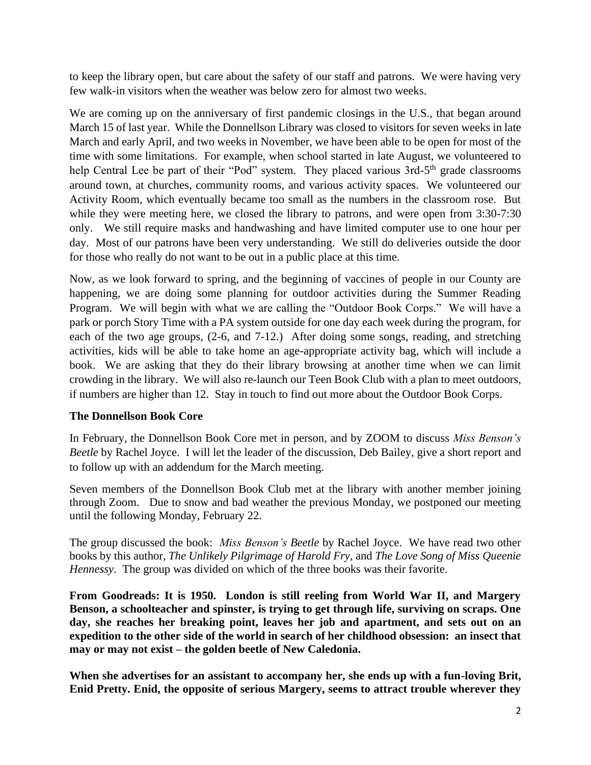to keep the library open, but care about the safety of our staff and patrons. We were having very few walk-in visitors when the weather was below zero for almost two weeks.

We are coming up on the anniversary of first pandemic closings in the U.S., that began around March 15 of last year. While the Donnellson Library was closed to visitors for seven weeks in late March and early April, and two weeks in November, we have been able to be open for most of the time with some limitations. For example, when school started in late August, we volunteered to help Central Lee be part of their "Pod" system. They placed various 3rd-5<sup>th</sup> grade classrooms around town, at churches, community rooms, and various activity spaces. We volunteered our Activity Room, which eventually became too small as the numbers in the classroom rose. But while they were meeting here, we closed the library to patrons, and were open from 3:30-7:30 only. We still require masks and handwashing and have limited computer use to one hour per day. Most of our patrons have been very understanding. We still do deliveries outside the door for those who really do not want to be out in a public place at this time.

Now, as we look forward to spring, and the beginning of vaccines of people in our County are happening, we are doing some planning for outdoor activities during the Summer Reading Program. We will begin with what we are calling the "Outdoor Book Corps." We will have a park or porch Story Time with a PA system outside for one day each week during the program, for each of the two age groups, (2-6, and 7-12.) After doing some songs, reading, and stretching activities, kids will be able to take home an age-appropriate activity bag, which will include a book. We are asking that they do their library browsing at another time when we can limit crowding in the library. We will also re-launch our Teen Book Club with a plan to meet outdoors, if numbers are higher than 12. Stay in touch to find out more about the Outdoor Book Corps.

#### **The Donnellson Book Core**

In February, the Donnellson Book Core met in person, and by ZOOM to discuss *Miss Benson's Beetle* by Rachel Joyce. I will let the leader of the discussion, Deb Bailey, give a short report and to follow up with an addendum for the March meeting.

Seven members of the Donnellson Book Club met at the library with another member joining through Zoom. Due to snow and bad weather the previous Monday, we postponed our meeting until the following Monday, February 22.

The group discussed the book: *Miss Benson's Beetle* by Rachel Joyce. We have read two other books by this author, *The Unlikely Pilgrimage of Harold Fry*, and *The Love Song of Miss Queenie Hennessy*. The group was divided on which of the three books was their favorite.

**From Goodreads: It is 1950. London is still reeling from World War II, and Margery Benson, a schoolteacher and spinster, is trying to get through life, surviving on scraps. One day, she reaches her breaking point, leaves her job and apartment, and sets out on an expedition to the other side of the world in search of her childhood obsession: an insect that may or may not exist – the golden beetle of New Caledonia.**

**When she advertises for an assistant to accompany her, she ends up with a fun-loving Brit, Enid Pretty. Enid, the opposite of serious Margery, seems to attract trouble wherever they**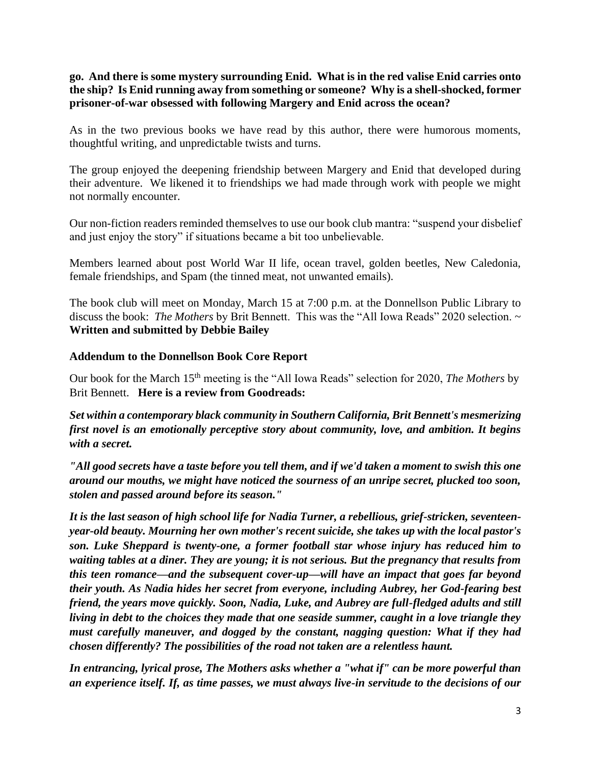**go. And there is some mystery surrounding Enid. What is in the red valise Enid carries onto the ship? Is Enid running away from something or someone? Why is a shell-shocked, former prisoner-of-war obsessed with following Margery and Enid across the ocean?**

As in the two previous books we have read by this author, there were humorous moments, thoughtful writing, and unpredictable twists and turns.

The group enjoyed the deepening friendship between Margery and Enid that developed during their adventure. We likened it to friendships we had made through work with people we might not normally encounter.

Our non-fiction readers reminded themselves to use our book club mantra: "suspend your disbelief and just enjoy the story" if situations became a bit too unbelievable.

Members learned about post World War II life, ocean travel, golden beetles, New Caledonia, female friendships, and Spam (the tinned meat, not unwanted emails).

The book club will meet on Monday, March 15 at 7:00 p.m. at the Donnellson Public Library to discuss the book: *The Mothers* by Brit Bennett. This was the "All Iowa Reads" 2020 selection. ~ **Written and submitted by Debbie Bailey**

#### **Addendum to the Donnellson Book Core Report**

Our book for the March 15th meeting is the "All Iowa Reads" selection for 2020, *The Mothers* by Brit Bennett. **Here is a review from Goodreads:**

*Set within a contemporary black community in Southern California, Brit Bennett's mesmerizing first novel is an emotionally perceptive story about community, love, and ambition. It begins with a secret.*

*"All good secrets have a taste before you tell them, and if we'd taken a moment to swish this one around our mouths, we might have noticed the sourness of an unripe secret, plucked too soon, stolen and passed around before its season."*

*It is the last season of high school life for Nadia Turner, a rebellious, grief-stricken, seventeenyear-old beauty. Mourning her own mother's recent suicide, she takes up with the local pastor's son. Luke Sheppard is twenty-one, a former football star whose injury has reduced him to waiting tables at a diner. They are young; it is not serious. But the pregnancy that results from this teen romance—and the subsequent cover-up—will have an impact that goes far beyond their youth. As Nadia hides her secret from everyone, including Aubrey, her God-fearing best friend, the years move quickly. Soon, Nadia, Luke, and Aubrey are full-fledged adults and still living in debt to the choices they made that one seaside summer, caught in a love triangle they must carefully maneuver, and dogged by the constant, nagging question: What if they had chosen differently? The possibilities of the road not taken are a relentless haunt.*

*In entrancing, lyrical prose, The Mothers asks whether a "what if" can be more powerful than an experience itself. If, as time passes, we must always live-in servitude to the decisions of our*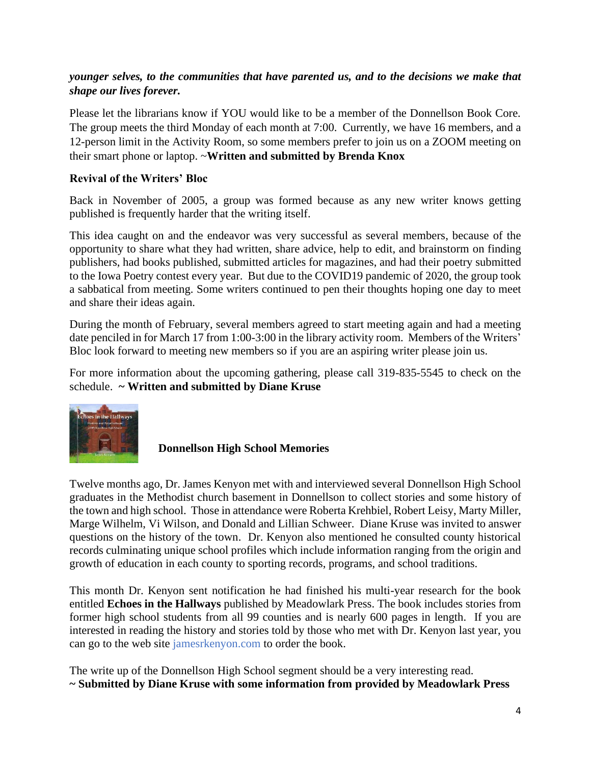## *younger selves, to the communities that have parented us, and to the decisions we make that shape our lives forever.*

Please let the librarians know if YOU would like to be a member of the Donnellson Book Core. The group meets the third Monday of each month at 7:00. Currently, we have 16 members, and a 12-person limit in the Activity Room, so some members prefer to join us on a ZOOM meeting on their smart phone or laptop. ~**Written and submitted by Brenda Knox**

#### **Revival of the Writers' Bloc**

Back in November of 2005, a group was formed because as any new writer knows getting published is frequently harder that the writing itself.

This idea caught on and the endeavor was very successful as several members, because of the opportunity to share what they had written, share advice, help to edit, and brainstorm on finding publishers, had books published, submitted articles for magazines, and had their poetry submitted to the Iowa Poetry contest every year. But due to the COVID19 pandemic of 2020, the group took a sabbatical from meeting. Some writers continued to pen their thoughts hoping one day to meet and share their ideas again.

During the month of February, several members agreed to start meeting again and had a meeting date penciled in for March 17 from 1:00-3:00 in the library activity room. Members of the Writers' Bloc look forward to meeting new members so if you are an aspiring writer please join us.

For more information about the upcoming gathering, please call 319-835-5545 to check on the schedule. **~ Written and submitted by Diane Kruse**



**Donnellson High School Memories**

Twelve months ago, Dr. James Kenyon met with and interviewed several Donnellson High School graduates in the Methodist church basement in Donnellson to collect stories and some history of the town and high school. Those in attendance were Roberta Krehbiel, Robert Leisy, Marty Miller, Marge Wilhelm, Vi Wilson, and Donald and Lillian Schweer. Diane Kruse was invited to answer questions on the history of the town. Dr. Kenyon also mentioned he consulted county historical records culminating unique school profiles which include information ranging from the origin and growth of education in each county to sporting records, programs, and school traditions.

This month Dr. Kenyon sent notification he had finished his multi-year research for the book entitled **Echoes in the Hallways** published by Meadowlark Press. The book includes stories from former high school students from all 99 counties and is nearly 600 pages in length. If you are interested in reading the history and stories told by those who met with Dr. Kenyon last year, you can go to the web site jamesrkenyon.com to order the book.

The write up of the Donnellson High School segment should be a very interesting read. **~ Submitted by Diane Kruse with some information from provided by Meadowlark Press**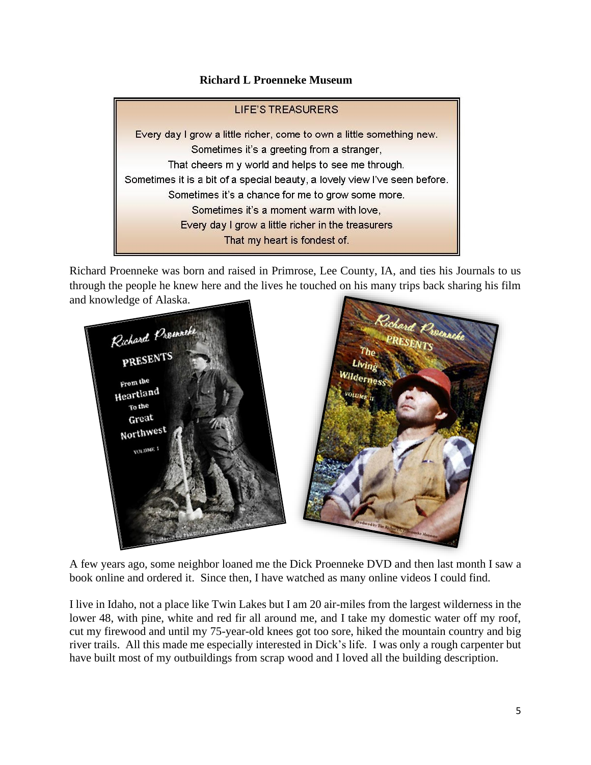#### **Richard L Proenneke Museum**

# **LIFE'S TREASURERS** Every day I grow a little richer, come to own a little something new. Sometimes it's a greeting from a stranger, That cheers m y world and helps to see me through. Sometimes it is a bit of a special beauty, a lovely view I've seen before. Sometimes it's a chance for me to grow some more. Sometimes it's a moment warm with love. Every day I grow a little richer in the treasurers That my heart is fondest of.

Richard Proenneke was born and raised in Primrose, Lee County, IA, and ties his Journals to us through the people he knew here and the lives he touched on his many trips back sharing his film and knowledge of Alaska.



A few years ago, some neighbor loaned me the Dick Proenneke DVD and then last month I saw a book online and ordered it. Since then, I have watched as many online videos I could find.

I live in Idaho, not a place like Twin Lakes but I am 20 air-miles from the largest wilderness in the lower 48, with pine, white and red fir all around me, and I take my domestic water off my roof, cut my firewood and until my 75-year-old knees got too sore, hiked the mountain country and big river trails. All this made me especially interested in Dick's life. I was only a rough carpenter but have built most of my outbuildings from scrap wood and I loved all the building description.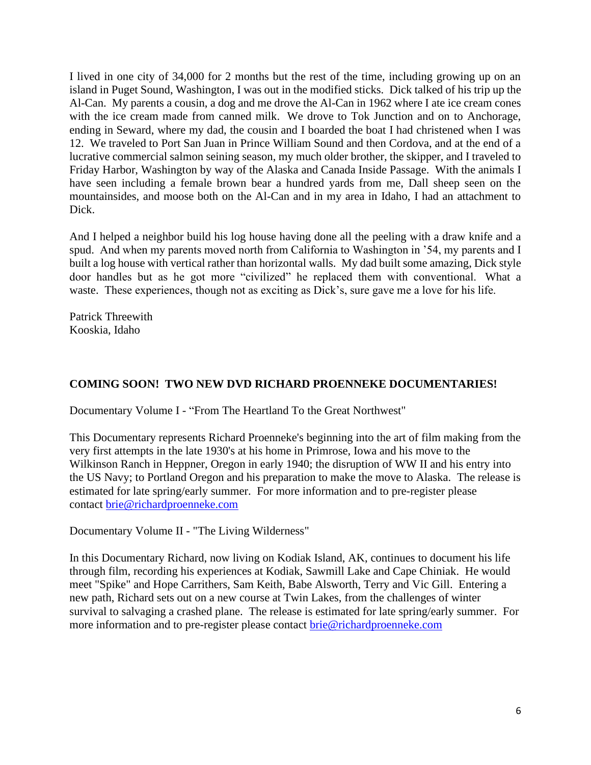I lived in one city of 34,000 for 2 months but the rest of the time, including growing up on an island in Puget Sound, Washington, I was out in the modified sticks. Dick talked of his trip up the Al-Can. My parents a cousin, a dog and me drove the Al-Can in 1962 where I ate ice cream cones with the ice cream made from canned milk. We drove to Tok Junction and on to Anchorage, ending in Seward, where my dad, the cousin and I boarded the boat I had christened when I was 12. We traveled to Port San Juan in Prince William Sound and then Cordova, and at the end of a lucrative commercial salmon seining season, my much older brother, the skipper, and I traveled to Friday Harbor, Washington by way of the Alaska and Canada Inside Passage. With the animals I have seen including a female brown bear a hundred yards from me, Dall sheep seen on the mountainsides, and moose both on the Al-Can and in my area in Idaho, I had an attachment to Dick.

And I helped a neighbor build his log house having done all the peeling with a draw knife and a spud. And when my parents moved north from California to Washington in '54, my parents and I built a log house with vertical rather than horizontal walls. My dad built some amazing, Dick style door handles but as he got more "civilized" he replaced them with conventional. What a waste. These experiences, though not as exciting as Dick's, sure gave me a love for his life.

Patrick Threewith Kooskia, Idaho

## **COMING SOON! TWO NEW DVD RICHARD PROENNEKE DOCUMENTARIES!**

Documentary Volume I - "From The Heartland To the Great Northwest"

This Documentary represents Richard Proenneke's beginning into the art of film making from the very first attempts in the late 1930's at his home in Primrose, Iowa and his move to the Wilkinson Ranch in Heppner, Oregon in early 1940; the disruption of WW II and his entry into the US Navy; to Portland Oregon and his preparation to make the move to Alaska. The release is estimated for late spring/early summer. For more information and to pre-register please contact [brie@richardproenneke.com](mailto:brie@richardproenneke.com)

Documentary Volume II - "The Living Wilderness"

In this Documentary Richard, now living on Kodiak Island, AK, continues to document his life through film, recording his experiences at Kodiak, Sawmill Lake and Cape Chiniak. He would meet "Spike" and Hope Carrithers, Sam Keith, Babe Alsworth, Terry and Vic Gill. Entering a new path, Richard sets out on a new course at Twin Lakes, from the challenges of winter survival to salvaging a crashed plane. The release is estimated for late spring/early summer. For more information and to pre-register please contact [brie@richardproenneke.com](mailto:brie@richardproenneke.com)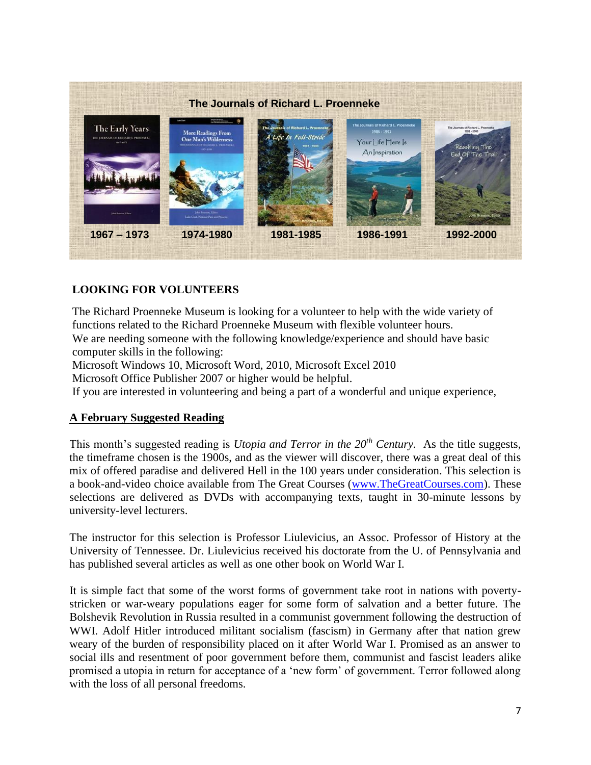

## **LOOKING FOR VOLUNTEERS**

The Richard Proenneke Museum is looking for a volunteer to help with the wide variety of functions related to the Richard Proenneke Museum with flexible volunteer hours. We are needing someone with the following knowledge/experience and should have basic computer skills in the following:

 Microsoft Windows 10, Microsoft Word, 2010, Microsoft Excel 2010

Microsoft Office Publisher 2007 or higher would be helpful.

If you are interested in volunteering and being a part of a wonderful and unique experience,

#### **A February Suggested Reading**

This month's suggested reading is *Utopia and Terror in the 20th Century.* As the title suggests, the timeframe chosen is the 1900s, and as the viewer will discover, there was a great deal of this mix of offered paradise and delivered Hell in the 100 years under consideration. This selection is a book-and-video choice available from The Great Courses [\(www.TheGreatCourses.com\)](http://www.thegreatcourses.com/). These selections are delivered as DVDs with accompanying texts, taught in 30-minute lessons by university-level lecturers.

The instructor for this selection is Professor Liulevicius, an Assoc. Professor of History at the University of Tennessee. Dr. Liulevicius received his doctorate from the U. of Pennsylvania and has published several articles as well as one other book on World War I.

It is simple fact that some of the worst forms of government take root in nations with povertystricken or war-weary populations eager for some form of salvation and a better future. The Bolshevik Revolution in Russia resulted in a communist government following the destruction of WWI. Adolf Hitler introduced militant socialism (fascism) in Germany after that nation grew weary of the burden of responsibility placed on it after World War I. Promised as an answer to social ills and resentment of poor government before them, communist and fascist leaders alike promised a utopia in return for acceptance of a 'new form' of government. Terror followed along with the loss of all personal freedoms.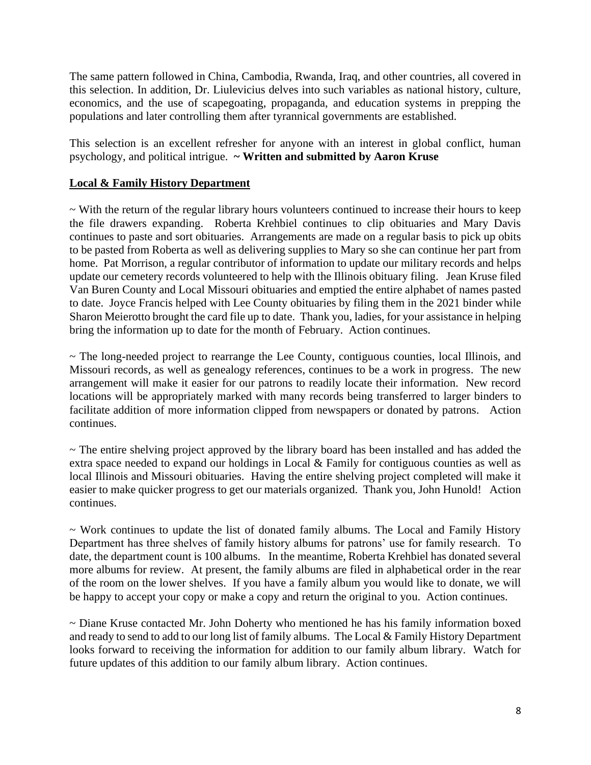The same pattern followed in China, Cambodia, Rwanda, Iraq, and other countries, all covered in this selection. In addition, Dr. Liulevicius delves into such variables as national history, culture, economics, and the use of scapegoating, propaganda, and education systems in prepping the populations and later controlling them after tyrannical governments are established.

This selection is an excellent refresher for anyone with an interest in global conflict, human psychology, and political intrigue. **~ Written and submitted by Aaron Kruse**

#### **Local & Family History Department**

~ With the return of the regular library hours volunteers continued to increase their hours to keep the file drawers expanding. Roberta Krehbiel continues to clip obituaries and Mary Davis continues to paste and sort obituaries. Arrangements are made on a regular basis to pick up obits to be pasted from Roberta as well as delivering supplies to Mary so she can continue her part from home. Pat Morrison, a regular contributor of information to update our military records and helps update our cemetery records volunteered to help with the Illinois obituary filing. Jean Kruse filed Van Buren County and Local Missouri obituaries and emptied the entire alphabet of names pasted to date. Joyce Francis helped with Lee County obituaries by filing them in the 2021 binder while Sharon Meierotto brought the card file up to date. Thank you, ladies, for your assistance in helping bring the information up to date for the month of February. Action continues.

~ The long-needed project to rearrange the Lee County, contiguous counties, local Illinois, and Missouri records, as well as genealogy references, continues to be a work in progress. The new arrangement will make it easier for our patrons to readily locate their information. New record locations will be appropriately marked with many records being transferred to larger binders to facilitate addition of more information clipped from newspapers or donated by patrons. Action continues.

~ The entire shelving project approved by the library board has been installed and has added the extra space needed to expand our holdings in Local  $\&$  Family for contiguous counties as well as local Illinois and Missouri obituaries. Having the entire shelving project completed will make it easier to make quicker progress to get our materials organized. Thank you, John Hunold! Action continues.

 $\sim$  Work continues to update the list of donated family albums. The Local and Family History Department has three shelves of family history albums for patrons' use for family research. To date, the department count is 100 albums. In the meantime, Roberta Krehbiel has donated several more albums for review. At present, the family albums are filed in alphabetical order in the rear of the room on the lower shelves. If you have a family album you would like to donate, we will be happy to accept your copy or make a copy and return the original to you. Action continues.

~ Diane Kruse contacted Mr. John Doherty who mentioned he has his family information boxed and ready to send to add to our long list of family albums. The Local & Family History Department looks forward to receiving the information for addition to our family album library. Watch for future updates of this addition to our family album library. Action continues.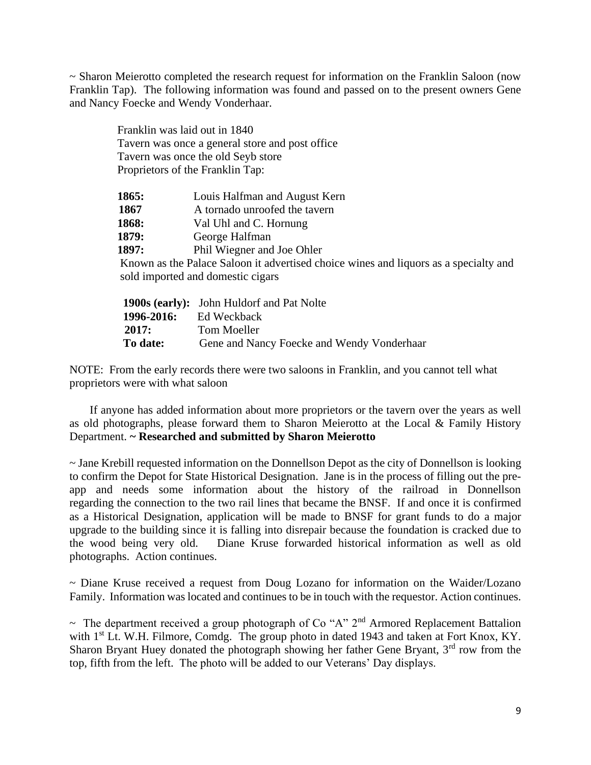~ Sharon Meierotto completed the research request for information on the Franklin Saloon (now Franklin Tap). The following information was found and passed on to the present owners Gene and Nancy Foecke and Wendy Vonderhaar.

|       | Franklin was laid out in 1840                                                        |
|-------|--------------------------------------------------------------------------------------|
|       | Tavern was once a general store and post office                                      |
|       | Tavern was once the old Seyb store                                                   |
|       | Proprietors of the Franklin Tap:                                                     |
| 1865: | Louis Halfman and August Kern                                                        |
| 1867  | A tornado unroofed the tavern                                                        |
| 1868: | Val Uhl and C. Hornung                                                               |
| 1879: | George Halfman                                                                       |
| 1897: | Phil Wiegner and Joe Ohler                                                           |
|       | Known as the Palace Saloon it advertised choice wines and liquors as a specialty and |
|       | sold imported and domestic cigars                                                    |

| $\sim$ 0.00 (exist) ). To 0.1.1. The contract and the strong |
|--------------------------------------------------------------|
| Ed Weckback                                                  |
| Tom Moeller                                                  |
| Gene and Nancy Foecke and Wendy Vonderhaar                   |
|                                                              |

NOTE: From the early records there were two saloons in Franklin, and you cannot tell what proprietors were with what saloon

 If anyone has added information about more proprietors or the tavern over the years as well as old photographs, please forward them to Sharon Meierotto at the Local & Family History Department. **~ Researched and submitted by Sharon Meierotto**

~ Jane Krebill requested information on the Donnellson Depot as the city of Donnellson is looking to confirm the Depot for State Historical Designation. Jane is in the process of filling out the preapp and needs some information about the history of the railroad in Donnellson regarding the connection to the two rail lines that became the BNSF. If and once it is confirmed as a Historical Designation, application will be made to BNSF for grant funds to do a major upgrade to the building since it is falling into disrepair because the foundation is cracked due to the wood being very old. Diane Kruse forwarded historical information as well as old photographs. Action continues.

~ Diane Kruse received a request from Doug Lozano for information on the Waider/Lozano Family. Information was located and continues to be in touch with the requestor. Action continues.

 $\sim$  The department received a group photograph of Co "A"  $2<sup>nd</sup>$  Armored Replacement Battalion with 1<sup>st</sup> Lt. W.H. Filmore, Comdg. The group photo in dated 1943 and taken at Fort Knox, KY. Sharon Bryant Huey donated the photograph showing her father Gene Bryant,  $3<sup>rd</sup>$  row from the top, fifth from the left. The photo will be added to our Veterans' Day displays.